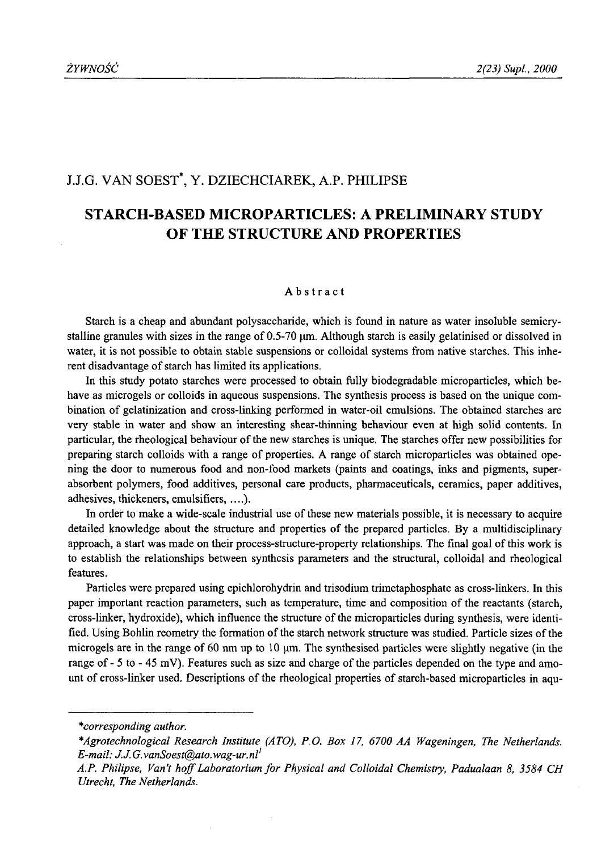## J.J.G. VAN SOEST\*, Y. DZIECHCIAREK, A.P. PHILIPSE

# **STARCH-BASED MICROPARTICLES: A PRELIMINARY STUDY OF THE STRUCTURE AND PROPERTIES**

#### Abstract

Starch is a cheap and abundant polysaccharide, which is found in nature as water insoluble semicrystalline granules with sizes in the range of 0.5-70  $\mu$ m. Although starch is easily gelatinised or dissolved in water, it is not possible to obtain stable suspensions or colloidal systems from native starches. This inherent disadvantage of starch has limited its applications.

In this study potato starches were processed to obtain fully biodegradable microparticles, which behave as microgels or colloids in aqueous suspensions. The synthesis process is based on the unique combination of gelatinization and cross-linking performed in water-oil emulsions. The obtained starches are very stable in water and show an interesting shear-thinning behaviour even at high solid contents. In particular, the rheological behaviour of the new starches is unique. The starches offer new possibilities for preparing starch colloids with a range of properties. A range of starch microparticles was obtained opening the door to numerous food and non-food markets (paints and coatings, inks and pigments, superabsorbent polymers, food additives, personal care products, pharmaceuticals, ceramics, paper additives, adhesives, thickeners, emulsifiers,....).

In order to make a wide-scale industrial use of these new materials possible, it is necessary to acquire detailed knowledge about the structure and properties of the prepared particles. By a multidisciplinary approach, a start was made on their process-structure-property relationships. The final goal of this work is to establish the relationships between synthesis parameters and the structural, colloidal and rheological features.

Particles were prepared using epichlorohydrin and trisodium trimetaphosphate as cross-linkers. In this paper important reaction parameters, such as temperature, time and composition of the reactants (starch, cross-linker, hydroxide), which influence the structure of the microparticles during synthesis, were identified. Using Bohlin reometry the formation of the starch network structure was studied. Particle sizes of the microgels are in the range of 60 nm up to 10  $\mu$ m. The synthesised particles were slightly negative (in the range of - 5 to - 45 mV). Features such as size and charge of the particles depended on the type and amount of cross-linker used. Descriptions of the rheological properties of starch-based microparticles in aqu

*<sup>\*</sup>corresponding author.*

*<sup>\*</sup>Agrotechnological Research Institute (ATO), P.O. Box 17, 6700 AA Wageningen, The Netherlands. E-mail: [J J .G.vanSoest@ato.wag-ur.nl1](mailto:JJ.G.vanSoest@ato.wag-ur.nl1)*

*A.P. Philipse, Van't hoff Laboratorium for Physical and Colloidal Chemistry, Padualaan 8, 3584 CH Utrecht, The Netherlands.*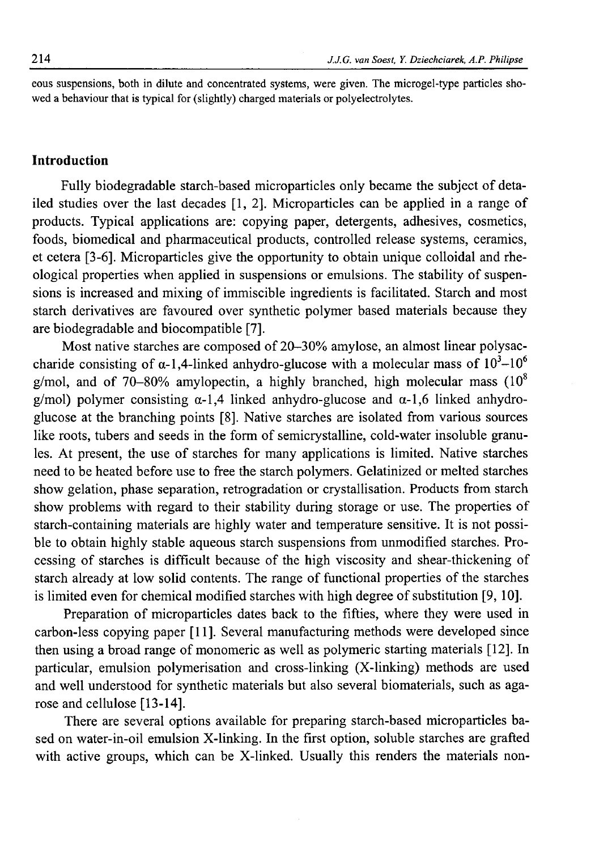eous suspensions, both in dilute and concentrated systems, were given. The microgel-type particles showed a behaviour that is typical for (slightly) charged materials or polyelectrolytes.

### **Introduction**

Fully biodegradable starch-based microparticles only became the subject of detailed studies over the last decades [1, 2], Microparticles can be applied in a range of products. Typical applications are: copying paper, detergents, adhesives, cosmetics, foods, biomedical and pharmaceutical products, controlled release systems, ceramics, et cetera [3-6]. Microparticles give the opportunity to obtain unique colloidal and rheological properties when applied in suspensions or emulsions. The stability of suspensions is increased and mixing of immiscible ingredients is facilitated. Starch and most starch derivatives are favoured over synthetic polymer based materials because they are biodegradable and biocompatible [7].

Most native starches are composed of 20-30% amylose, an almost linear polysaccharide consisting of  $\alpha$ -1,4-linked anhydro-glucose with a molecular mass of  $10^3$ - $10^6$ g/mol, and of 70-80% amylopectin, a highly branched, high molecular mass  $(10^8)$ g/mol) polymer consisting  $\alpha$ -1,4 linked anhydro-glucose and  $\alpha$ -1,6 linked anhydroglucose at the branching points [8]. Native starches are isolated from various sources like roots, tubers and seeds in the form of semicrystalline, cold-water insoluble granules. At present, the use of starches for many applications is limited. Native starches need to be heated before use to free the starch polymers. Gelatinized or melted starches show gelation, phase separation, retrogradation or crystallisation. Products from starch show problems with regard to their stability during storage or use. The properties of starch-containing materials are highly water and temperature sensitive. It is not possible to obtain highly stable aqueous starch suspensions from unmodified starches. Processing of starches is difficult because of the high viscosity and shear-thickening of starch already at low solid contents. The range of functional properties of the starches is limited even for chemical modified starches with high degree of substitution [9, 10].

Preparation of microparticles dates back to the fifties, where they were used in carbon-less copying paper [11]. Several manufacturing methods were developed since then using a broad range of monomeric as well as polymeric starting materials [12]. In particular, emulsion polymerisation and cross-linking (X-linking) methods are used and well understood for synthetic materials but also several biomaterials, such as agarose and cellulose [13-14].

There are several options available for preparing starch-based microparticles based on water-in-oil emulsion X-linking. In the first option, soluble starches are grafted with active groups, which can be X-linked. Usually this renders the materials non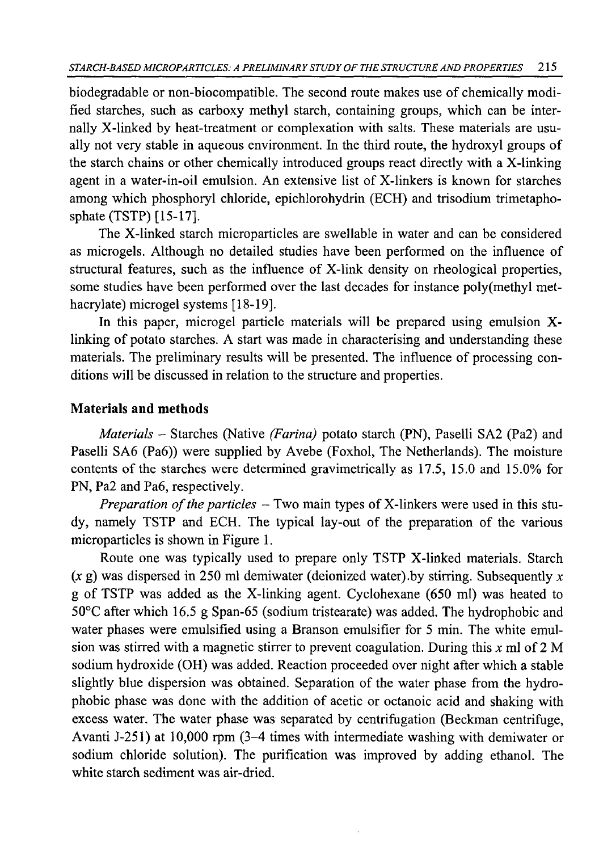biodegradable or non-biocompatible. The second route makes use of chemically modified starches, such as carboxy methyl starch, containing groups, which can be internally X-linked by heat-treatment or complexation with salts. These materials are usually not very stable in aqueous environment. In the third route, the hydroxyl groups of the starch chains or other chemically introduced groups react directly with a X-linking agent in a water-in-oil emulsion. An extensive list of X-linkers is known for starches among which phosphoryl chloride, epichlorohydrin (ECH) and trisodium trimetaphosphate (TSTP) [15-17].

The X-linked starch microparticles are swellable in water and can be considered as microgels. Although no detailed studies have been performed on the influence of structural features, such as the influence of X-link density on rheological properties, some studies have been performed over the last decades for instance poly(methyl methacrylate) microgel systems [18-19].

In this paper, microgel particle materials will be prepared using emulsion Xlinking of potato starches. A start was made in characterising and understanding these materials. The preliminary results will be presented. The influence of processing conditions will be discussed in relation to the structure and properties.

## **Materials and methods**

*Materials* - Starches (Native *(Farina)* potato starch (PN), Paselli SA2 (Pa2) and Paselli SA6 (Pa6)) were supplied by Avebe (Foxhol, The Netherlands). The moisture contents of the starches were determined gravimetrically as 17.5, 15.0 and 15.0% for PN, Pa2 and Pa6, respectively.

*Preparation of the particles* – Two main types of X-linkers were used in this study, namely TSTP and ECH. The typical lay-out of the preparation of the various microparticles is shown in Figure 1.

Route one was typically used to prepare only TSTP X-linked materials. Starch  $(x g)$  was dispersed in 250 ml demiwater (deionized water) by stirring. Subsequently x g of TSTP was added as the X-linking agent. Cyclohexane (650 ml) was heated to 50°C after which 16.5 g Span-65 (sodium tristearate) was added. The hydrophobic and water phases were emulsified using a Branson emulsifier for 5 min. The white emulsion was stirred with a magnetic stirrer to prevent coagulation. During this *x* ml of 2 M sodium hydroxide (OH) was added. Reaction proceeded over night after which a stable slightly blue dispersion was obtained. Separation of the water phase from the hydrophobic phase was done with the addition of acetic or octanoic acid and shaking with excess water. The water phase was separated by centrifugation (Beckman centrifuge, Avanti J-251) at 10,000 rpm (3-4 times with intermediate washing with demiwater or sodium chloride solution). The purification was improved by adding ethanol. The white starch sediment was air-dried.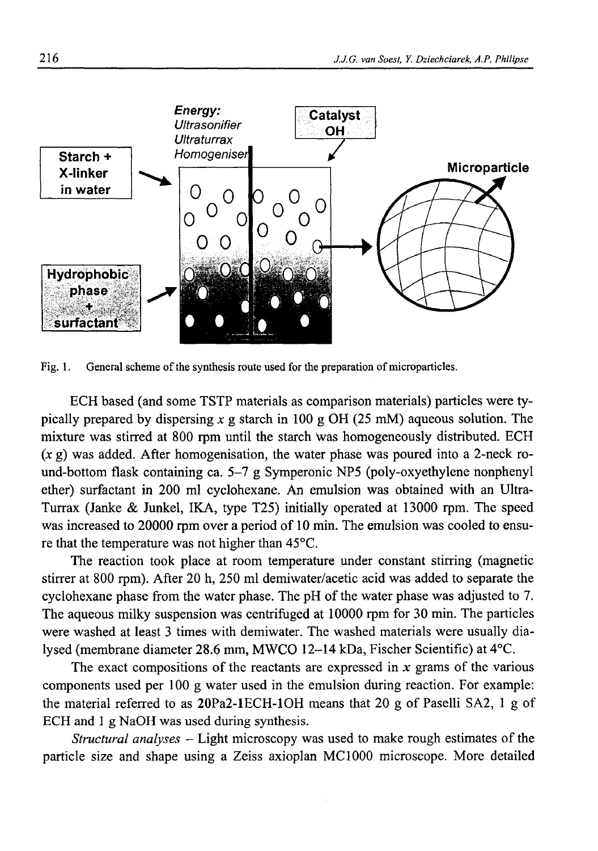

Fig. 1. General scheme of the synthesis route used for the preparation of microparticles.

ECH based (and some TSTP materials as comparison materials) particles were typically prepared by dispersing *x* g starch in 100 g OH (25 mM) aqueous solution. The mixture was stirred at 800 rpm until the starch was homogeneously distributed. ECH  $(x g)$  was added. After homogenisation, the water phase was poured into a 2-neck round-bottom flask containing ca. 5-7 g Symperonic NP5 (poly-oxyethylene nonphenyl ether) surfactant in 200 ml cyclohexane. An emulsion was obtained with an Ultra-Turrax (Janke & Junkel, IKA, type T25) initially operated at 13000 rpm. The speed was increased to 20000 rpm over a period of 10 min. The emulsion was cooled to ensure that the temperature was not higher than 45°C.

The reaction took place at room temperature under constant stirring (magnetic stirrer at 800 rpm). After 20 h, 250 ml demiwater/acetic acid was added to separate the cyclohexane phase from the water phase. The pH of the water phase was adjusted to 7. The aqueous milky suspension was centrifuged at 10000 rpm for 30 min. The particles were washed at least 3 times with demiwater. The washed materials were usually dialysed (membrane diameter 28.6 mm, MWCO 12-14 kDa, Fischer Scientific) at 4°C.

The exact compositions of the reactants are expressed in  $x$  grams of the various components used per 100 g water used in the emulsion during reaction. For example: the material referred to as 20Pa2-lECH-10H means that 20 g of Paselli SA2, 1 g of ECH and 1 g NaOH was used during synthesis.

*Structural analyses* - Light microscopy was used to make rough estimates of the particle size and shape using a Zeiss axioplan MC1000 microscope. More detailed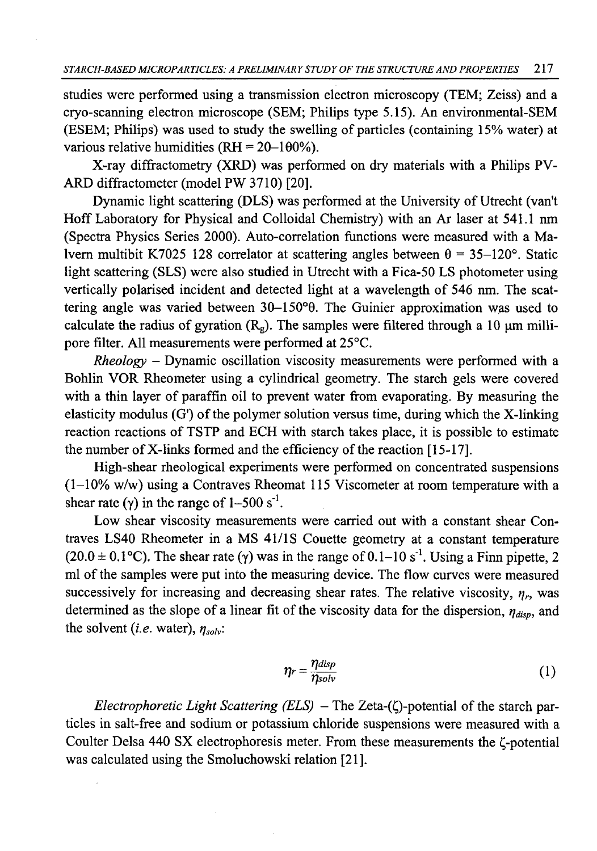studies were performed using a transmission electron microscopy (TEM; Zeiss) and a cryo-scanning electron microscope (SEM; Philips type 5.15). An environmental-SEM (ESEM; Philips) was used to study the swelling of particles (containing 15% water) at various relative humidities ( $RH = 20-100\%$ ).

X-ray diffractometry (XRD) was performed on dry materials with a Philips PV-ARD diffractometer (model PW 3710) [20].

Dynamic light scattering (DLS) was performed at the University of Utrecht (van't Hoff Laboratory for Physical and Colloidal Chemistry) with an Ar laser at 541.1 nm (Spectra Physics Series 2000). Auto-correlation functions were measured with a Malvern multibit K7025 128 correlator at scattering angles between  $\theta = 35-120^{\circ}$ . Static light scattering (SLS) were also studied in Utrecht with a Fica-50 LS photometer using vertically polarised incident and detected light at a wavelength of 546 nm. The scattering angle was varied between 30-150°9. The Guinier approximation was used to calculate the radius of gyration  $(R_g)$ . The samples were filtered through a 10  $\mu$ m millipore filter. All measurements were performed at 25°C.

*Rheology -* Dynamic oscillation viscosity measurements were performed with a Bohlin VOR Rheometer using a cylindrical geometry. The starch gels were covered with a thin layer of paraffin oil to prevent water from evaporating. By measuring the elasticity modulus  $(G')$  of the polymer solution versus time, during which the X-linking reaction reactions of TSTP and ECH with starch takes place, it is possible to estimate the number of X-links formed and the efficiency of the reaction [15-17].

High-shear rheological experiments were performed on concentrated suspensions (1-10% w/w) using a Contraves Rheomat 115 Viscometer at room temperature with a shear rate ( $\gamma$ ) in the range of 1-500 s<sup>-1</sup>.

Low shear viscosity measurements were carried out with a constant shear Contraves LS40 Rheometer in a MS 41/1S Couette geometry at a constant temperature  $(20.0 \pm 0.1^{\circ}$ C). The shear rate (y) was in the range of  $0.1$ –10 s<sup>-1</sup>. Using a Finn pipette, 2 ml of the samples were put into the measuring device. The flow curves were measured successively for increasing and decreasing shear rates. The relative viscosity,  $\eta_r$ , was determined as the slope of a linear fit of the viscosity data for the dispersion,  $\eta_{disp}$ , and the solvent *(i.e.* water),  $\eta_{solv}$ :

$$
\eta_r = \frac{\eta_{disp}}{\eta_{solv}}\tag{1}
$$

*Electrophoretic Light Scattering (ELS) -* The Zeta-(Q-potential of the starch particles in salt-free and sodium or potassium chloride suspensions were measured with a Coulter Delsa 440 SX electrophoresis meter. From these measurements the  $\zeta$ -potential was calculated using the Smoluchowski relation [21].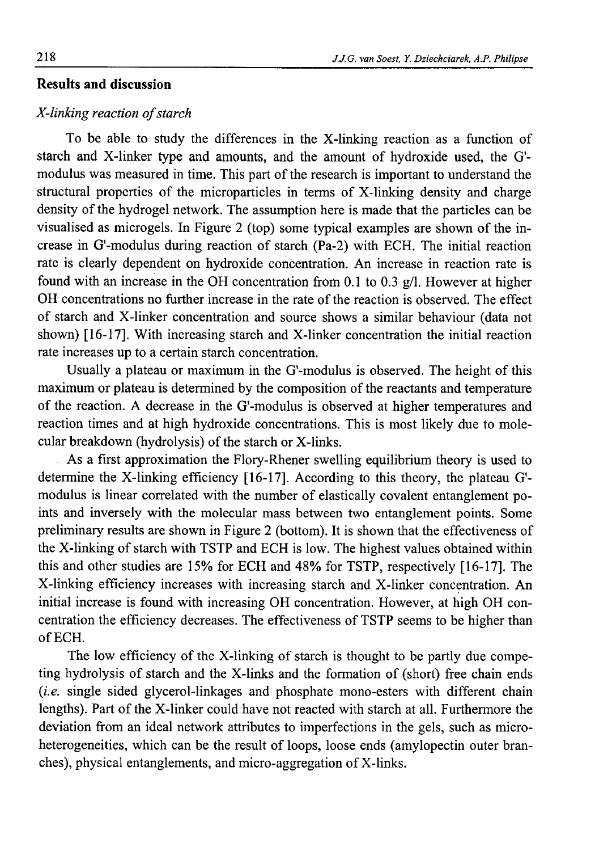## **Results and discussion**

### *X*-linking reaction of starch

To be able to study the differences in the X-linking reaction as a function of starch and X-linker type and amounts, and the amount of hydroxide used, the G' modulus was measured in time. This part of the research is important to understand the structural properties of the microparticles in terms of X-linking density and charge density of the hydrogel network. The assumption here is made that the particles can be visualised as microgels. In Figure 2 (top) some typical examples are shown of the increase in G'-modulus during reaction of starch (Pa-2) with ECH. The initial reaction rate is clearly dependent on hydroxide concentration. An increase in reaction rate is found with an increase in the OH concentration from 0.1 to 0.3  $g/l$ . However at higher OH concentrations no further increase in the rate of the reaction is observed. The effect of starch and X-linker concentration and source shows a similar behaviour (data not shown) [16-17]. With increasing starch and X-linker concentration the initial reaction rate increases up to a certain starch concentration.

Usually a plateau or maximum in the G'-modulus is observed. The height of this maximum or plateau is determined by the composition of the reactants and temperature of the reaction. A decrease in the G'-modulus is observed at higher temperatures and reaction times and at high hydroxide concentrations. This is most likely due to molecular breakdown (hydrolysis) of the starch or X-links.

As a first approximation the Flory-Rhener swelling equilibrium theory is used to determine the X-linking efficiency [16-17]. According to this theory, the plateau G' modulus is linear correlated with the number of elastically covalent entanglement points and inversely with the molecular mass between two entanglement points. Some preliminary results are shown in Figure 2 (bottom). It is shown that the effectiveness of the X-linking of starch with TSTP and ECH is low. The highest values obtained within this and other studies are 15% for ECH and 48% for TSTP, respectively [16-17]. The X-linking efficiency increases with increasing starch and X-linker concentration. An initial increase is found with increasing OH concentration. However, at high OH concentration the efficiency decreases. The effectiveness of TSTP seems to be higher than of ECH.

The low efficiency of the X-linking of starch is thought to be partly due competing hydrolysis of starch and the X-links and the formation of (short) free chain ends *{i.e.* single sided glycerol-linkages and phosphate mono-esters with different chain lengths). Part of the X-linker could have not reacted with starch at all. Furthermore the deviation from an ideal network attributes to imperfections in the gels, such as microheterogeneities, which can be the result of loops, loose ends (amylopectin outer branches), physical entanglements, and micro-aggregation of X-links.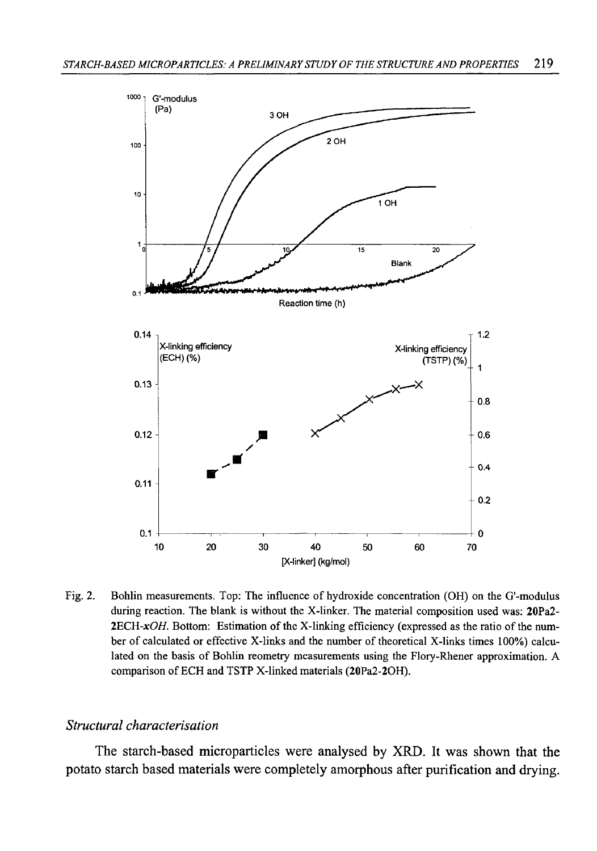

Fig. 2. Bohlin measurements. Top: The influence of hydroxide concentration (OH) on the G'-modulus during reaction. The blank is without the X-linker. The material composition used was: 20Pa2- 2ECH- $xOH$ . Bottom: Estimation of the X-linking efficiency (expressed as the ratio of the number of calculated or effective X-links and the number of theoretical X-links times 100%) calculated on the basis of Bohlin reometry measurements using the Flory-Rhener approximation. A comparison of ECH and TSTP X-linked materials (20Pa2-20H).

### *Structural characterisation*

The starch-based microparticles were analysed by XRD. It was shown that the potato starch based materials were completely amorphous after purification and drying.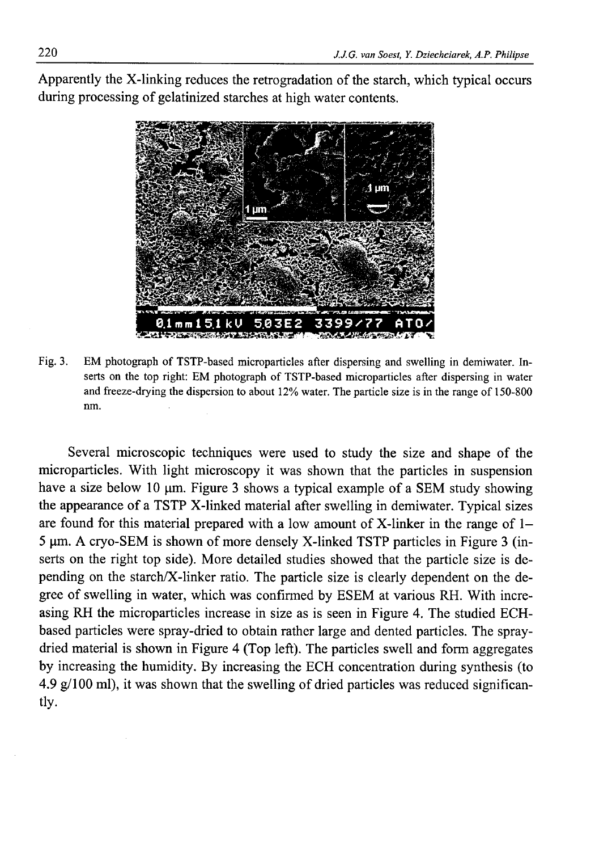Apparently the X-linking reduces the retrogradation of the starch, which typical occurs during processing of gelatinized starches at high water contents.



Fig. 3. EM photograph of TSTP-based microparticles after dispersing and swelling in demiwater. Inserts on the top right: EM photograph of TSTP-based microparticles after dispersing in water and freeze-drying the dispersion to about 12% water. The particle size is in the range of 150-800 nm.

Several microscopic techniques were used to study the size and shape of the microparticles. With light microscopy it was shown that the particles in suspension have a size below 10  $\mu$ m. Figure 3 shows a typical example of a SEM study showing the appearance of a TSTP X-linked material after swelling in demiwater. Typical sizes are found for this material prepared with a low amount of X-linker in the range of 1- 5 µm. A cryo-SEM is shown of more densely X-linked TSTP particles in Figure 3 (inserts on the right top side). More detailed studies showed that the particle size is depending on the starch/X-linker ratio. The particle size is clearly dependent on the degree of swelling in water, which was confirmed by ESEM at various RH. With increasing RH the microparticles increase in size as is seen in Figure 4. The studied ECHbased particles were spray-dried to obtain rather large and dented particles. The spraydried material is shown in Figure 4 (Top left). The particles swell and form aggregates by increasing the humidity. By increasing the ECH concentration during synthesis (to 4.9 g/100 ml), it was shown that the swelling of dried particles was reduced significantly.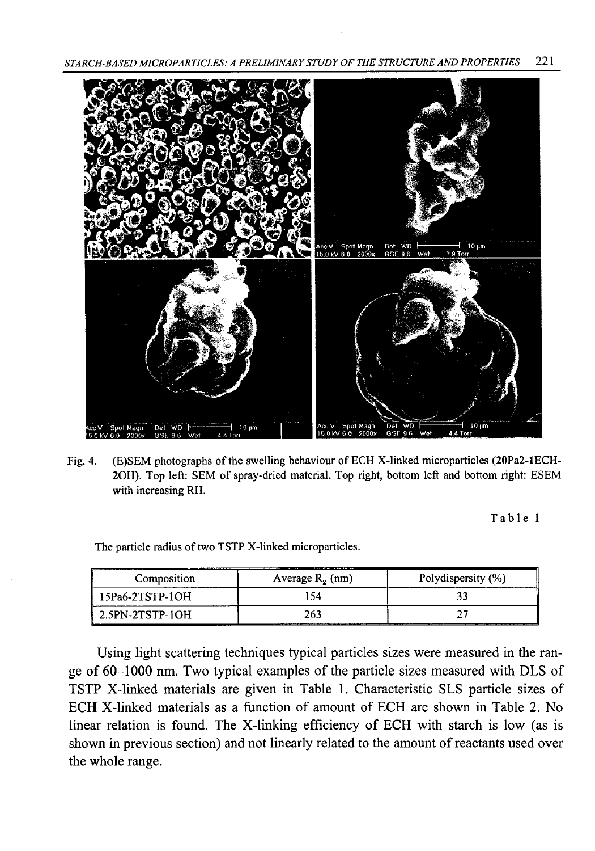*STARCH-BASED MICROPARTICLES: A PRELIMINARY STUDY OF THE STRUCTURE AND PROPERTIES* 221



Fig. 4. (E)SEM photographs of the swelling behaviour of ECH X-linked microparticles (20Pa2-lECH-20H). Top left: SEM of spray-dried material. Top right, bottom left and bottom right: ESEM with increasing RH.

Table 1

The particle radius of two TSTP X-linked microparticles.

| Composition                                    | Average $R_g$ (nm) | Polydispersity (%) |  |
|------------------------------------------------|--------------------|--------------------|--|
| 15Pa6-2TSTP-1OH                                |                    |                    |  |
| $\textsf{1}\,$ 2.5PN-2TSTP-1OH<br>____________ | 263                |                    |  |

Using light scattering techniques typical particles sizes were measured in the range of 60-1000 nm. Two typical examples of the particle sizes measured with DLS of TSTP X-linked materials are given in Table 1. Characteristic SLS particle sizes of ECH X-linked materials as a function of amount of ECH are shown in Table 2. No linear relation is found. The X-linking efficiency of ECH with starch is low (as is shown in previous section) and not linearly related to the amount of reactants used over the whole range.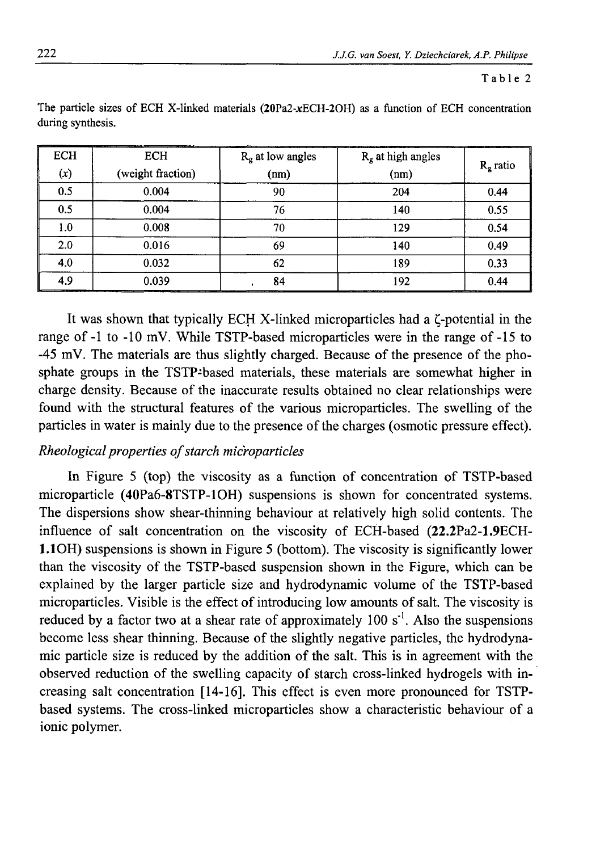#### Table 2

| <b>ECH</b> | <b>ECH</b>        | $Rg$ at low angles | $R_g$ at high angles | $Rg$ ratio |
|------------|-------------------|--------------------|----------------------|------------|
| (x)        | (weight fraction) | (nm)               | (nm)                 |            |
| 0.5        | 0.004             | 90                 | 204                  | 0.44       |
| 0.5        | 0.004             | 76                 | 140                  | 0.55       |
| 1.0        | 0.008             | 70                 | 129                  | 0.54       |
| 2.0        | 0.016             | 69                 | 140                  | 0.49       |
| 4.0        | 0.032             | 62                 | 189                  | 0.33       |
| 4.9        | 0.039             | 84                 | 192                  | 0.44       |

The particle sizes of ECH X-linked materials  $(20Pa2-xECH-2OH)$  as a function of ECH concentration during synthesis.

It was shown that typically ECH X-linked microparticles had a  $\zeta$ -potential in the range of -1 to -10 mV. While TSTP-based microparticles were in the range of -15 to -45 mV. The materials are thus slightly charged. Because of the presence of the phosphate groups in the TSTP-based materials, these materials are somewhat higher in charge density. Because of the inaccurate results obtained no clear relationships were found with the structural features of the various microparticles. The swelling of the particles in water is mainly due to the presence of the charges (osmotic pressure effect).

## *Rheological properties of starch microparticles*

In Figure 5 (top) the viscosity as a function of concentration of TSTP-based microparticle (40Pa6-8TSTP-10H) suspensions is shown for concentrated systems. The dispersions show shear-thinning behaviour at relatively high solid contents. The influence of salt concentration on the viscosity of ECH-based (22.2Pa2-1.9ECH-1.10H) suspensions is shown in Figure 5 (bottom). The viscosity is significantly lower than the viscosity of the TSTP-based suspension shown in the Figure, which can be explained by the larger particle size and hydrodynamic volume of the TSTP-based microparticles. Visible is the effect of introducing low amounts of salt. The viscosity is reduced by a factor two at a shear rate of approximately 100  $s<sup>-1</sup>$ . Also the suspensions become less shear thinning. Because of the slightly negative particles, the hydrodynamic particle size is reduced by the addition of the salt. This is in agreement with the observed reduction of the swelling capacity of starch cross-linked hydrogels with increasing salt concentration [14-16]. This effect is even more pronounced for TSTPbased systems. The cross-linked microparticles show a characteristic behaviour of a ionic polymer.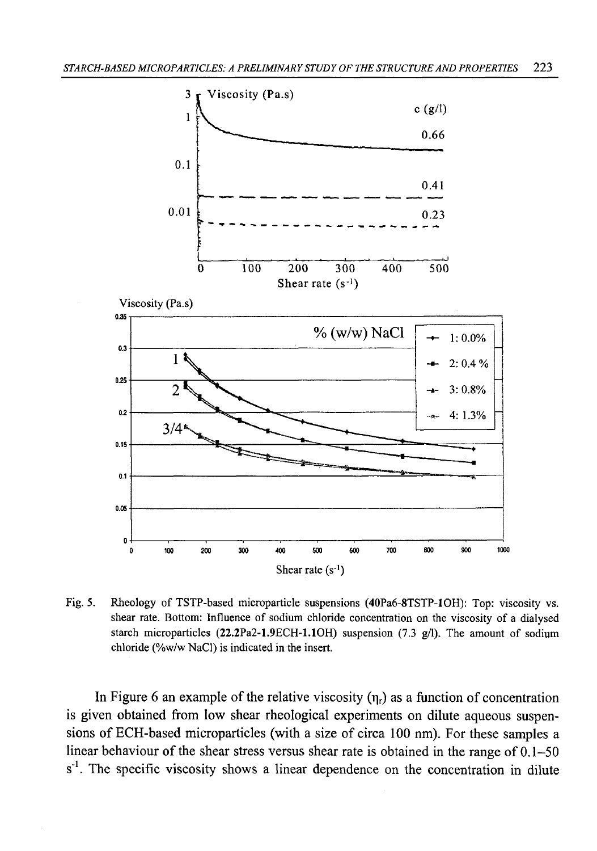

Fig. 5. Rheology of TSTP-based microparticle suspensions (40Pa6-8TSTP-10H): Top: viscosity vs. shear rate. Bottom: Influence of sodium chloride concentration on the viscosity of a dialysed starch microparticles  $(22.2Pa2-1.9ECH-1.1OH)$  suspension  $(7.3 g/l)$ . The amount of sodium chloride (%w/w NaCl) is indicated in the insert.

In Figure 6 an example of the relative viscosity  $(\eta_r)$  as a function of concentration is given obtained from low shear rheological experiments on dilute aqueous suspensions of ECH-based microparticles (with a size of circa 100 nm). For these samples a linear behaviour of the shear stress versus shear rate is obtained in the range of 0.1-50  $s<sup>-1</sup>$ . The specific viscosity shows a linear dependence on the concentration in dilute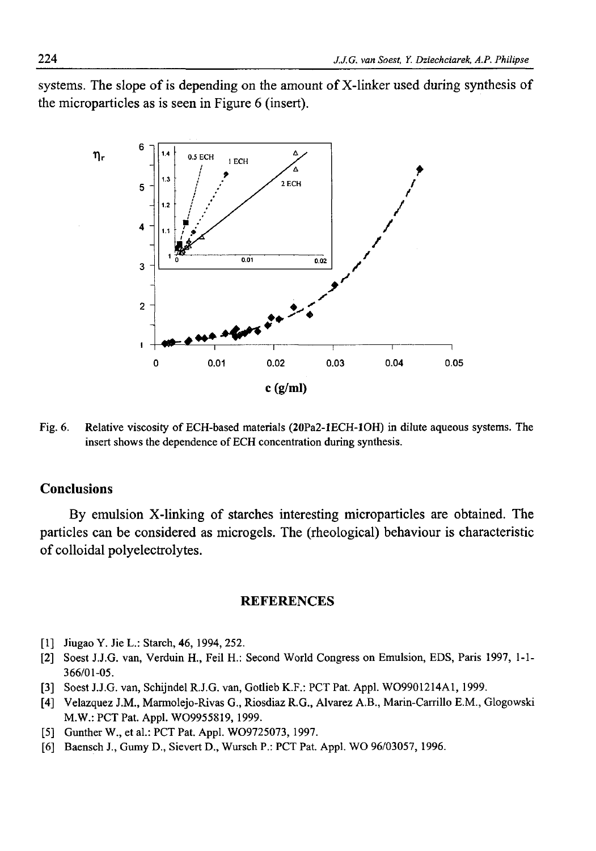systems. The slope of is depending on the amount of  $X$ -linker used during synthesis of the microparticles as is seen in Figure 6 (insert).



Fig. 6. Relative viscosity of ECH-based materials (20Pa2-lECH-10H) in dilute aqueous systems. The insert shows the dependence of ECH concentration during synthesis.

## **Conclusions**

By emulsion X-linking of starches interesting microparticles are obtained. The particles can be considered as microgels. The (rheological) behaviour is characteristic of colloidal polyelectrolytes.

#### **REFERENCES**

- [1] Jiugao Y. Jie L.: Starch, 46, 1994, 252.
- [2] Soest J.J.G. van, Verduin H., Feil H.: Second World Congress on Emulsion, EDS, Paris 1997, 1-1- 366/01-05.
- [3] Soest J.J.G. van, Schijndel R.J.G. van, Gotlieb K.F.: PCT Pat. Appl. W09901214A1, 1999.
- [4] Velazquez J.M., Marmolejo-Rivas G., Riosdiaz R.G., Alvarez A.B., Marin-Carrillo E.M., Głogowski M.W.: PCT Pat. Appl. W09955819, 1999.
- [5] Gunther W., et al.: PCT Pat. Appl. W09725073, 1997.
- [6] Baensch J., Gumy D., Sievert D., Wursch P.: PCT Pat. Appl. WO 96/03057, 1996.